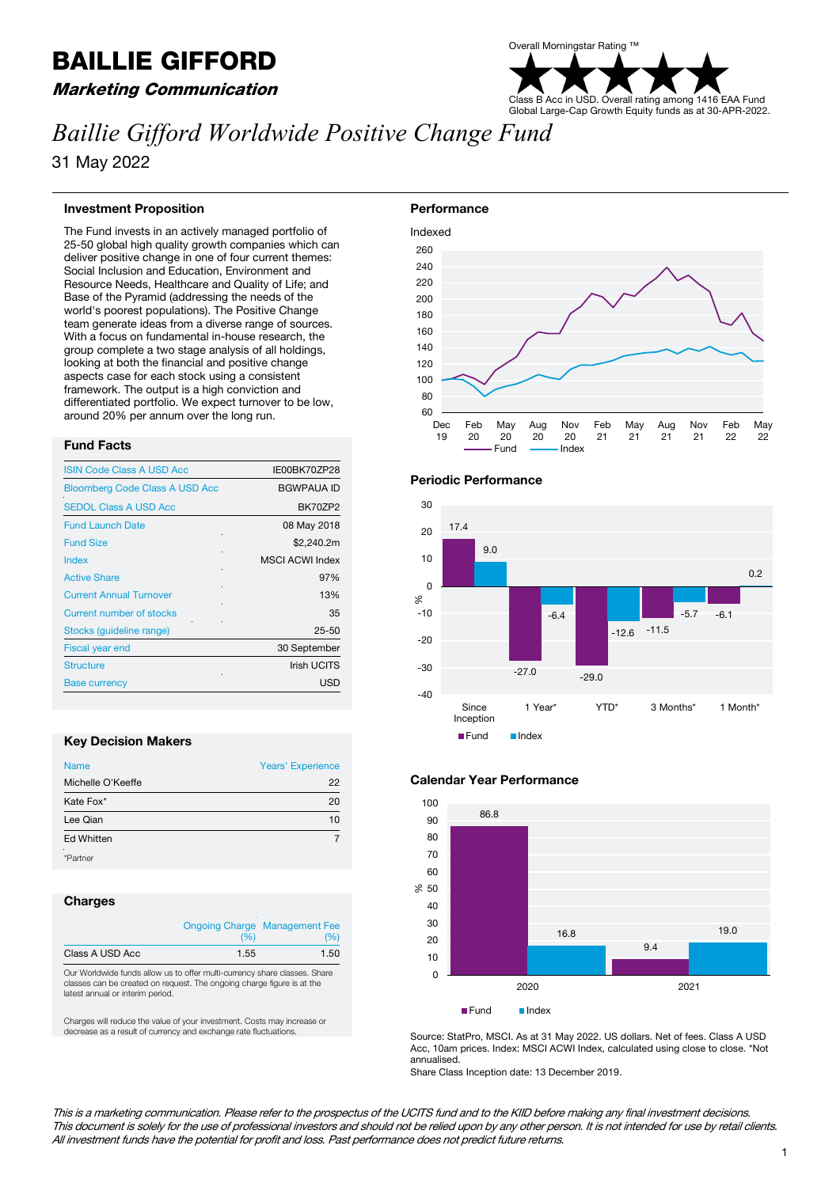# BAILLIE GIFFORD

## Marketing Communication



# *Baillie Gifford Worldwide Positive Change Fund*

31 May 2022

#### **Investment Proposition**

The Fund invests in an actively managed portfolio of 25-50 global high quality growth companies which can deliver positive change in one of four current themes: Social Inclusion and Education, Environment and Resource Needs, Healthcare and Quality of Life; and Base of the Pyramid (addressing the needs of the world's poorest populations). The Positive Change team generate ideas from a diverse range of sources. With a focus on fundamental in-house research, the group complete a two stage analysis of all holdings, looking at both the financial and positive change aspects case for each stock using a consistent framework. The output is a high conviction and differentiated portfolio. We expect turnover to be low, around 20% per annum over the long run.

#### **Fund Facts**

| <b>ISIN Code Class A USD Acc</b>      | IE00BK70ZP28           |
|---------------------------------------|------------------------|
| <b>Bloomberg Code Class A USD Acc</b> | <b>BGWPAUA ID</b>      |
| <b>SEDOL Class A USD Acc</b>          | BK70ZP2                |
| <b>Fund Launch Date</b>               | 08 May 2018            |
| <b>Fund Size</b>                      | \$2,240.2m             |
| Index                                 | <b>MSCI ACWI Index</b> |
| <b>Active Share</b>                   | 97%                    |
| <b>Current Annual Turnover</b>        | 13%                    |
| Current number of stocks              | 35                     |
| Stocks (quideline range)              | $25 - 50$              |
| <b>Fiscal year end</b>                | 30 September           |
| <b>Structure</b>                      | <b>Irish UCITS</b>     |
| <b>Base currency</b>                  | <b>USD</b>             |

#### **Key Decision Makers**

| <b>Name</b>       | Years' Experience |
|-------------------|-------------------|
| Michelle O'Keeffe | 22                |
| Kate Fox*         | 20                |
| Lee Qian          | 10                |
| <b>Ed Whitten</b> |                   |
| *Partner          |                   |

#### **Charges**

|                 | (%)  | <b>Ongoing Charge Management Fee</b><br>(%) |
|-----------------|------|---------------------------------------------|
| Class A USD Acc | 1.55 | 1.50                                        |

Our Worldwide funds allow us to offer multi-currency share classes. Share classes can be created on request. The ongoing charge figure is at the latest annual or interim period.

Charges will reduce the value of your investment. Costs may increase or decrease as a result of currency and exchange rate fluctuations.









Source: StatPro, MSCI. As at 31 May 2022. US dollars. Net of fees. Class A USD Acc, 10am prices. Index: MSCI ACWI Index, calculated using close to close. \*Not annualised.

Share Class Inception date: 13 December 2019.

This is a marketing communication. Please refer to the prospectus of the UCITS fund and to the KIID before making any final investment decisions. This document is solely for the use of professional investors and should not be relied upon by any other person. It is not intended for use by retail clients. All investment funds have the potential for profit and loss. Past performance does not predict future returns.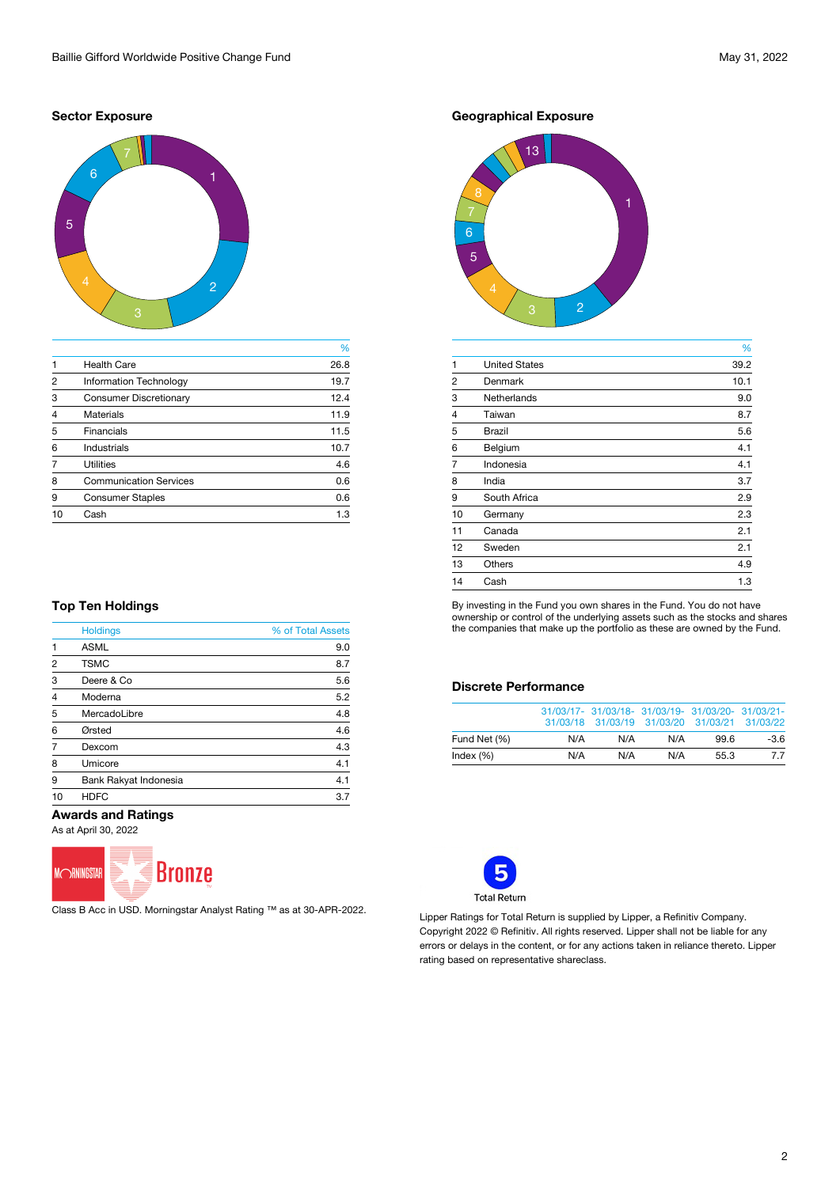#### **Sector Exposure**



|                |                               | %    |
|----------------|-------------------------------|------|
|                | <b>Health Care</b>            | 26.8 |
| 2              | <b>Information Technology</b> | 19.7 |
| 3              | <b>Consumer Discretionary</b> | 12.4 |
| $\overline{4}$ | <b>Materials</b>              | 11.9 |
| 5              | <b>Financials</b>             | 11.5 |
| 6              | <b>Industrials</b>            | 10.7 |
|                | <b>Utilities</b>              | 4.6  |
| 8              | <b>Communication Services</b> | 0.6  |
| 9              | <b>Consumer Staples</b>       | 0.6  |
| 10             | Cash                          | 1.3  |
|                |                               |      |

### **Geographical Exposure**



|                |                      | %    |
|----------------|----------------------|------|
| $\mathbf{1}$   | <b>United States</b> | 39.2 |
| $\overline{c}$ | <b>Denmark</b>       | 10.1 |
| 3              | <b>Netherlands</b>   | 9.0  |
| $\overline{4}$ | <b>Taiwan</b>        | 8.7  |
| 5              | <b>Brazil</b>        | 5.6  |
| 6              | Belgium              | 4.1  |
| $\overline{7}$ | Indonesia            | 4.1  |
| 8              | India                | 3.7  |
| 9              | South Africa         | 2.9  |
| 10             | Germany              | 2.3  |
| 11             | Canada               | 2.1  |
| 12             | Sweden               | 2.1  |
| 13             | <b>Others</b>        | 4.9  |
| 14             | Cash                 | 1.3  |
|                |                      |      |

By investing in the Fund you own shares in the Fund. You do not have ownership or control of the underlying assets such as the stocks and shares the companies that make up the portfolio as these are owned by the Fund.

### **Discrete Performance**

|              |     | 31/03/17- 31/03/18- 31/03/19- 31/03/20- 31/03/21-<br>31/03/18 31/03/19 31/03/20 31/03/21 31/03/22 |     |      |        |
|--------------|-----|---------------------------------------------------------------------------------------------------|-----|------|--------|
| Fund Net (%) | N/A | N/A                                                                                               | N/A | 996  | $-3.6$ |
| Index $(\%)$ | N/A | N/A                                                                                               | N/A | 55.3 | 7.7    |



Lipper Ratings for Total Return is supplied by Lipper, a Refinitiv Company. Copyright 2022 © Refinitiv. All rights reserved. Lipper shall not be liable for any errors or delays in the content, or for any actions taken in reliance thereto. Lipper rating based on representative shareclass.

#### **Top Ten Holdings**

|                | <b>Holdings</b>              | % of Total Assets |
|----------------|------------------------------|-------------------|
| $\overline{1}$ | <b>ASML</b>                  | 9.0               |
| $\overline{2}$ | <b>TSMC</b>                  | 8.7               |
| 3              | Deere & Co.                  | 5.6               |
| $\overline{4}$ | Moderna                      | 5.2               |
| 5              | MercadoLibre                 | 4.8               |
| 6              | Ørsted                       | 4.6               |
| $\overline{7}$ | Dexcom                       | 4.3               |
| 8              | Umicore                      | 4.1               |
| 9              | <b>Bank Rakyat Indonesia</b> | 4.1               |
| 10             | <b>HDFC</b>                  | 3.7               |

#### **Awards and Ratings**

As at April 30, 2022



Class B Acc in USD. Morningstar Analyst Rating ™ as at 30-APR-2022.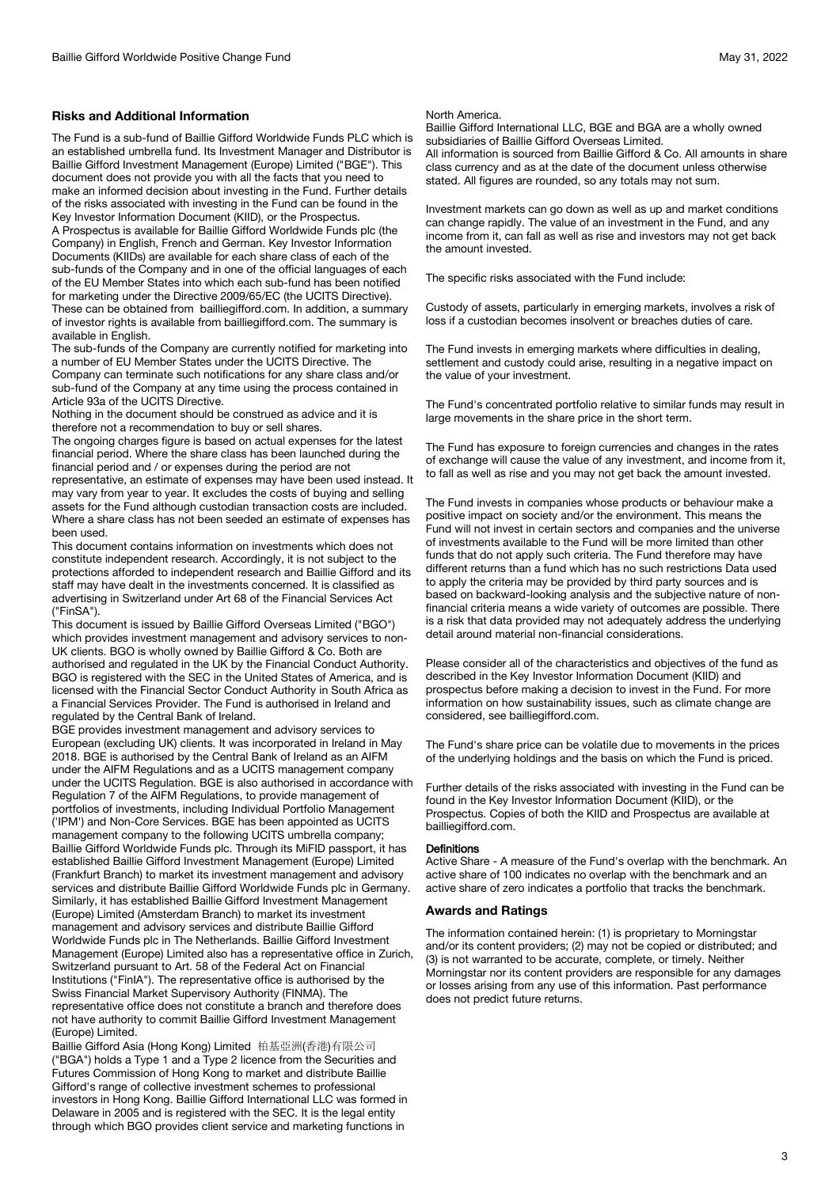#### **Risks and Additional Information**

The Fund is a sub-fund of Baillie Gifford Worldwide Funds PLC which is an established umbrella fund. Its Investment Manager and Distributor is Baillie Gifford Investment Management (Europe) Limited ("BGE"). This document does not provide you with all the facts that you need to make an informed decision about investing in the Fund. Further details of the risks associated with investing in the Fund can be found in the Key Investor Information Document (KIID), or the Prospectus.

A Prospectus is available for Baillie Gifford Worldwide Funds plc (the Company) in English, French and German. Key Investor Information Documents (KIIDs) are available for each share class of each of the sub-funds of the Company and in one of the official languages of each of the EU Member States into which each sub-fund has been notified for marketing under the Directive 2009/65/EC (the UCITS Directive). These can be obtained from bailliegifford.com. In addition, a summary of investor rights is available from bailliegifford.com. The summary is available in English.

The sub-funds of the Company are currently notified for marketing into a number of EU Member States under the UCITS Directive. The Company can terminate such notifications for any share class and/or sub-fund of the Company at any time using the process contained in Article 93a of the UCITS Directive.

Nothing in the document should be construed as advice and it is therefore not a recommendation to buy or sell shares.

The ongoing charges figure is based on actual expenses for the latest financial period. Where the share class has been launched during the financial period and / or expenses during the period are not representative, an estimate of expenses may have been used instead. It may vary from year to year. It excludes the costs of buying and selling assets for the Fund although custodian transaction costs are included. Where a share class has not been seeded an estimate of expenses has been used.

This document contains information on investments which does not constitute independent research. Accordingly, it is not subject to the protections afforded to independent research and Baillie Gifford and its staff may have dealt in the investments concerned. It is classified as advertising in Switzerland under Art 68 of the Financial Services Act ("FinSA").

This document is issued by Baillie Gifford Overseas Limited ("BGO") which provides investment management and advisory services to non-UK clients. BGO is wholly owned by Baillie Gifford & Co. Both are authorised and regulated in the UK by the Financial Conduct Authority. BGO is registered with the SEC in the United States of America, and is licensed with the Financial Sector Conduct Authority in South Africa as a Financial Services Provider. The Fund is authorised in Ireland and regulated by the Central Bank of Ireland.

BGE provides investment management and advisory services to European (excluding UK) clients. It was incorporated in Ireland in May 2018. BGE is authorised by the Central Bank of Ireland as an AIFM under the AIFM Regulations and as a UCITS management company under the UCITS Regulation. BGE is also authorised in accordance with Regulation 7 of the AIFM Regulations, to provide management of portfolios of investments, including Individual Portfolio Management ('IPM') and Non-Core Services. BGE has been appointed as UCITS management company to the following UCITS umbrella company; Baillie Gifford Worldwide Funds plc. Through its MiFID passport, it has established Baillie Gifford Investment Management (Europe) Limited (Frankfurt Branch) to market its investment management and advisory services and distribute Baillie Gifford Worldwide Funds plc in Germany. Similarly, it has established Baillie Gifford Investment Management (Europe) Limited (Amsterdam Branch) to market its investment management and advisory services and distribute Baillie Gifford Worldwide Funds plc in The Netherlands. Baillie Gifford Investment Management (Europe) Limited also has a representative office in Zurich, Switzerland pursuant to Art. 58 of the Federal Act on Financial Institutions ("FinIA"). The representative office is authorised by the Swiss Financial Market Supervisory Authority (FINMA). The representative office does not constitute a branch and therefore does not have authority to commit Baillie Gifford Investment Management (Europe) Limited.

Baillie Gifford Asia (Hong Kong) Limited 柏基亞洲(香港)有限公司 ("BGA") holds a Type 1 and a Type 2 licence from the Securities and Futures Commission of Hong Kong to market and distribute Baillie Gifford's range of collective investment schemes to professional investors in Hong Kong. Baillie Gifford International LLC was formed in Delaware in 2005 and is registered with the SEC. It is the legal entity through which BGO provides client service and marketing functions in

#### North America.

Baillie Gifford International LLC, BGE and BGA are a wholly owned subsidiaries of Baillie Gifford Overseas Limited. All information is sourced from Baillie Gifford & Co. All amounts in share

class currency and as at the date of the document unless otherwise stated. All figures are rounded, so any totals may not sum.

Investment markets can go down as well as up and market conditions can change rapidly. The value of an investment in the Fund, and any income from it, can fall as well as rise and investors may not get back the amount invested.

The specific risks associated with the Fund include:

Custody of assets, particularly in emerging markets, involves a risk of loss if a custodian becomes insolvent or breaches duties of care.

The Fund invests in emerging markets where difficulties in dealing, settlement and custody could arise, resulting in a negative impact on the value of your investment.

The Fund's concentrated portfolio relative to similar funds may result in large movements in the share price in the short term.

The Fund has exposure to foreign currencies and changes in the rates of exchange will cause the value of any investment, and income from it, to fall as well as rise and you may not get back the amount invested.

The Fund invests in companies whose products or behaviour make a positive impact on society and/or the environment. This means the Fund will not invest in certain sectors and companies and the universe of investments available to the Fund will be more limited than other funds that do not apply such criteria. The Fund therefore may have different returns than a fund which has no such restrictions Data used to apply the criteria may be provided by third party sources and is based on backward-looking analysis and the subjective nature of nonfinancial criteria means a wide variety of outcomes are possible. There is a risk that data provided may not adequately address the underlying detail around material non-financial considerations.

Please consider all of the characteristics and objectives of the fund as described in the Key Investor Information Document (KIID) and prospectus before making a decision to invest in the Fund. For more information on how sustainability issues, such as climate change are considered, see bailliegifford.com.

The Fund's share price can be volatile due to movements in the prices of the underlying holdings and the basis on which the Fund is priced.

Further details of the risks associated with investing in the Fund can be found in the Key Investor Information Document (KIID), or the Prospectus. Copies of both the KIID and Prospectus are available at bailliegifford.com.

#### **Definitions**

Active Share - A measure of the Fund's overlap with the benchmark. An active share of 100 indicates no overlap with the benchmark and an active share of zero indicates a portfolio that tracks the benchmark.

#### **Awards and Ratings**

The information contained herein: (1) is proprietary to Morningstar and/or its content providers; (2) may not be copied or distributed; and (3) is not warranted to be accurate, complete, or timely. Neither Morningstar nor its content providers are responsible for any damages or losses arising from any use of this information. Past performance does not predict future returns.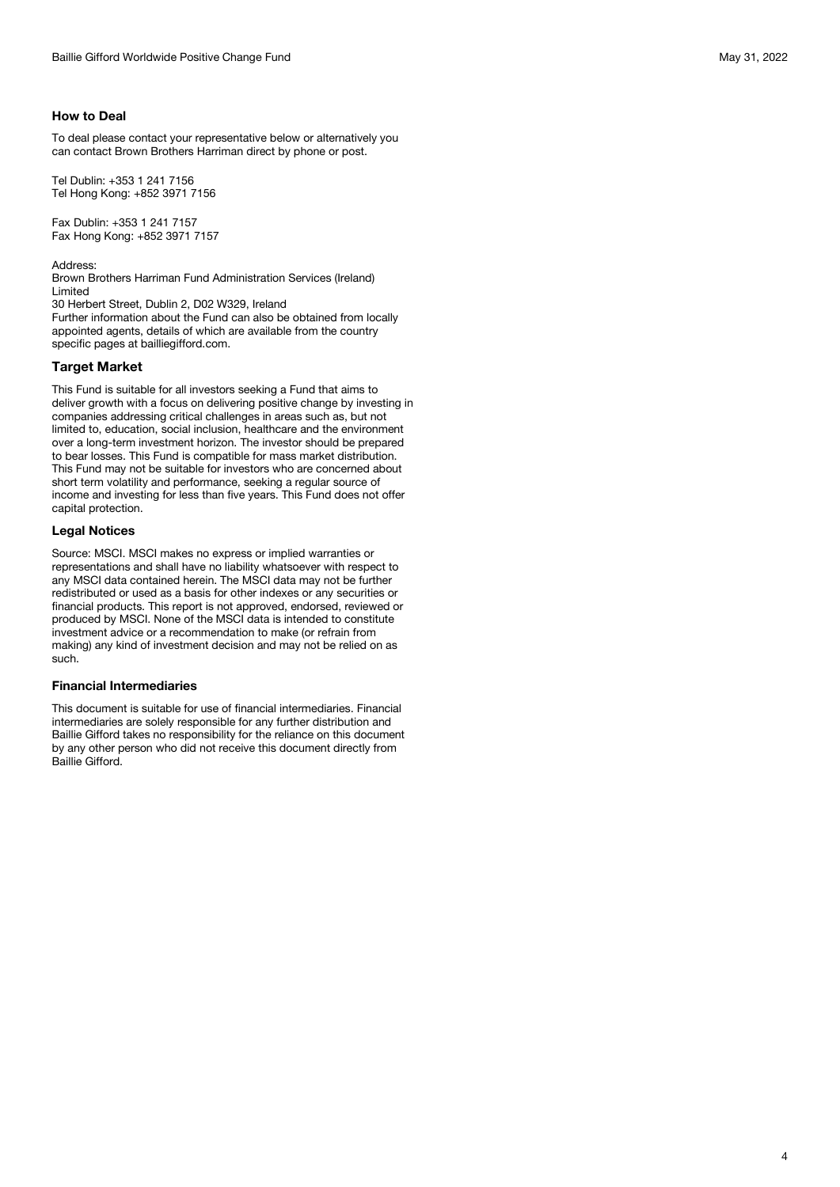To deal please contact your representative below or alternatively you can contact Brown Brothers Harriman direct by phone or post.

Tel Dublin: +353 1 241 7156 Tel Hong Kong: +852 3971 7156

Fax Dublin: +353 1 241 7157 Fax Hong Kong: +852 3971 7157

Address: Brown Brothers Harriman Fund Administration Services (Ireland) Limited

30 Herbert Street, Dublin 2, D02 W329, Ireland

Further information about the Fund can also be obtained from locally appointed agents, details of which are available from the country specific pages at bailliegifford.com.

#### **Target Market**

This Fund is suitable for all investors seeking a Fund that aims to deliver growth with a focus on delivering positive change by investing in companies addressing critical challenges in areas such as, but not limited to, education, social inclusion, healthcare and the environment over a long-term investment horizon. The investor should be prepared to bear losses. This Fund is compatible for mass market distribution. This Fund may not be suitable for investors who are concerned about short term volatility and performance, seeking a regular source of income and investing for less than five years. This Fund does not offer capital protection.

#### **Legal Notices**

Source: MSCI. MSCI makes no express or implied warranties or representations and shall have no liability whatsoever with respect to any MSCI data contained herein. The MSCI data may not be further redistributed or used as a basis for other indexes or any securities or financial products. This report is not approved, endorsed, reviewed or produced by MSCI. None of the MSCI data is intended to constitute investment advice or a recommendation to make (or refrain from making) any kind of investment decision and may not be relied on as such.

#### **Financial Intermediaries**

This document is suitable for use of financial intermediaries. Financial intermediaries are solely responsible for any further distribution and Baillie Gifford takes no responsibility for the reliance on this document by any other person who did not receive this document directly from Baillie Gifford.